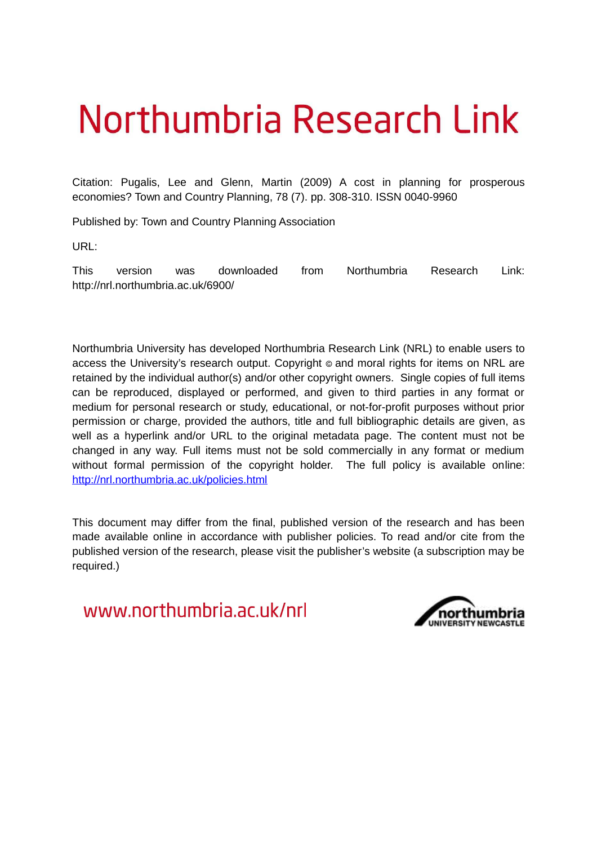# Northumbria Research Link

Citation: Pugalis, Lee and Glenn, Martin (2009) A cost in planning for prosperous economies? Town and Country Planning, 78 (7). pp. 308-310. ISSN 0040-9960

Published by: Town and Country Planning Association

URL:

This version was downloaded from Northumbria Research Link: http://nrl.northumbria.ac.uk/6900/

Northumbria University has developed Northumbria Research Link (NRL) to enable users to access the University's research output. Copyright © and moral rights for items on NRL are retained by the individual author(s) and/or other copyright owners. Single copies of full items can be reproduced, displayed or performed, and given to third parties in any format or medium for personal research or study, educational, or not-for-profit purposes without prior permission or charge, provided the authors, title and full bibliographic details are given, as well as a hyperlink and/or URL to the original metadata page. The content must not be changed in any way. Full items must not be sold commercially in any format or medium without formal permission of the copyright holder. The full policy is available online: <http://nrl.northumbria.ac.uk/policies.html>

This document may differ from the final, published version of the research and has been made available online in accordance with publisher policies. To read and/or cite from the published version of the research, please visit the publisher's website (a subscription may be required.)

www.northumbria.ac.uk/nrl

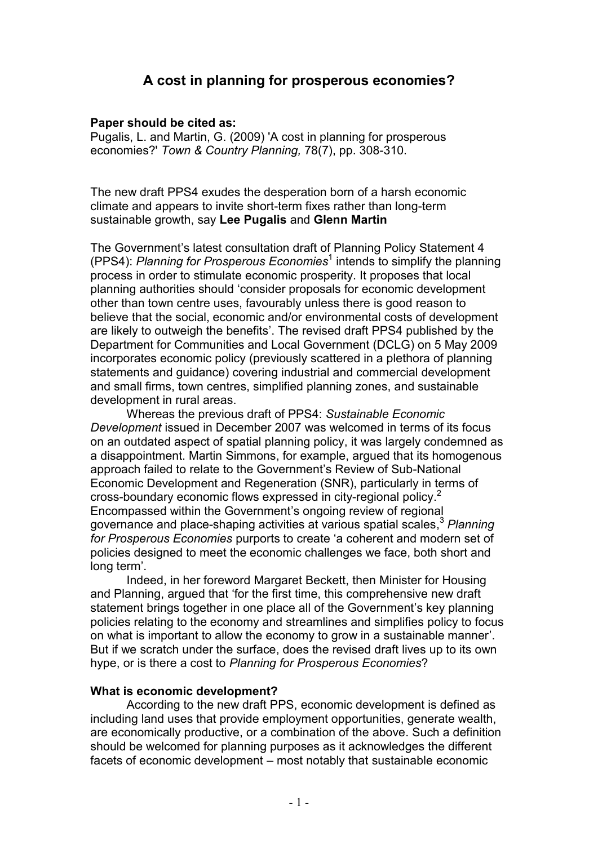## **A cost in planning for prosperous economies?**

#### **Paper should be cited as:**

Pugalis, L. and Martin, G. (2009) 'A cost in planning for prosperous economies?' *Town & Country Planning,* 78(7), pp. 308-310.

The new draft PPS4 exudes the desperation born of a harsh economic climate and appears to invite short-term fixes rather than long-term sustainable growth, say **Lee Pugalis** and **Glenn Martin**

The Government's latest consultation draft of Planning Policy Statement 4 (PPS4): Planning for Prosperous Economies<sup>1</sup> intends to simplify the planning process in order to stimulate economic prosperity. It proposes that local planning authorities should 'consider proposals for economic development other than town centre uses, favourably unless there is good reason to believe that the social, economic and/or environmental costs of development are likely to outweigh the benefits'. The revised draft PPS4 published by the Department for Communities and Local Government (DCLG) on 5 May 2009 incorporates economic policy (previously scattered in a plethora of planning statements and guidance) covering industrial and commercial development and small firms, town centres, simplified planning zones, and sustainable development in rural areas.

 Whereas the previous draft of PPS4: *Sustainable Economic Development* issued in December 2007 was welcomed in terms of its focus on an outdated aspect of spatial planning policy, it was largely condemned as a disappointment. Martin Simmons, for example, argued that its homogenous approach failed to relate to the Government's Review of Sub-National Economic Development and Regeneration (SNR), particularly in terms of cross-boundary economic flows expressed in city-regional policy. 2 Encompassed within the Government's ongoing review of regional governance and place-shaping activities at various spatial scales,<sup>3</sup> *Planning for Prosperous Economies* purports to create 'a coherent and modern set of policies designed to meet the economic challenges we face, both short and long term'.

 Indeed, in her foreword Margaret Beckett, then Minister for Housing and Planning, argued that 'for the first time, this comprehensive new draft statement brings together in one place all of the Government's key planning policies relating to the economy and streamlines and simplifies policy to focus on what is important to allow the economy to grow in a sustainable manner'. But if we scratch under the surface, does the revised draft lives up to its own hype, or is there a cost to *Planning for Prosperous Economies*?

#### **What is economic development?**

 According to the new draft PPS, economic development is defined as including land uses that provide employment opportunities, generate wealth, are economically productive, or a combination of the above. Such a definition should be welcomed for planning purposes as it acknowledges the different facets of economic development – most notably that sustainable economic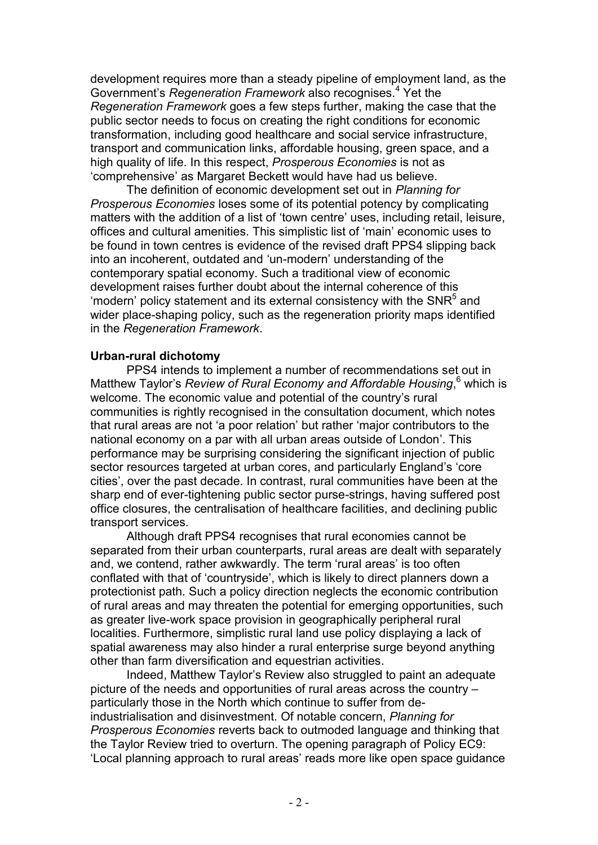development requires more than a steady pipeline of employment land, as the Government's *Regeneration Framework* also recognises.<sup>4</sup> Yet the *Regeneration Framework* goes a few steps further, making the case that the public sector needs to focus on creating the right conditions for economic transformation, including good healthcare and social service infrastructure, transport and communication links, affordable housing, green space, and a high quality of life. In this respect, *Prosperous Economies* is not as 'comprehensive' as Margaret Beckett would have had us believe.

 The definition of economic development set out in *Planning for Prosperous Economies* loses some of its potential potency by complicating matters with the addition of a list of 'town centre' uses, including retail, leisure, offices and cultural amenities. This simplistic list of 'main' economic uses to be found in town centres is evidence of the revised draft PPS4 slipping back into an incoherent, outdated and 'un-modern' understanding of the contemporary spatial economy. Such a traditional view of economic development raises further doubt about the internal coherence of this 'modern' policy statement and its external consistency with the SNR<sup>5</sup> and wider place-shaping policy, such as the regeneration priority maps identified in the *Regeneration Framework*.

#### **Urban-rural dichotomy**

 PPS4 intends to implement a number of recommendations set out in Matthew Taylor's Review of Rural Economy and Affordable Housing,<sup>6</sup> which is welcome. The economic value and potential of the country's rural communities is rightly recognised in the consultation document, which notes that rural areas are not 'a poor relation' but rather 'major contributors to the national economy on a par with all urban areas outside of London'. This performance may be surprising considering the significant injection of public sector resources targeted at urban cores, and particularly England's 'core cities', over the past decade. In contrast, rural communities have been at the sharp end of ever-tightening public sector purse-strings, having suffered post office closures, the centralisation of healthcare facilities, and declining public transport services.

Although draft PPS4 recognises that rural economies cannot be separated from their urban counterparts, rural areas are dealt with separately and, we contend, rather awkwardly. The term 'rural areas' is too often conflated with that of 'countryside', which is likely to direct planners down a protectionist path. Such a policy direction neglects the economic contribution of rural areas and may threaten the potential for emerging opportunities, such as greater live-work space provision in geographically peripheral rural localities. Furthermore, simplistic rural land use policy displaying a lack of spatial awareness may also hinder a rural enterprise surge beyond anything other than farm diversification and equestrian activities.

 Indeed, Matthew Taylor's Review also struggled to paint an adequate picture of the needs and opportunities of rural areas across the country – particularly those in the North which continue to suffer from deindustrialisation and disinvestment. Of notable concern, *Planning for Prosperous Economies* reverts back to outmoded language and thinking that the Taylor Review tried to overturn. The opening paragraph of Policy EC9: 'Local planning approach to rural areas' reads more like open space guidance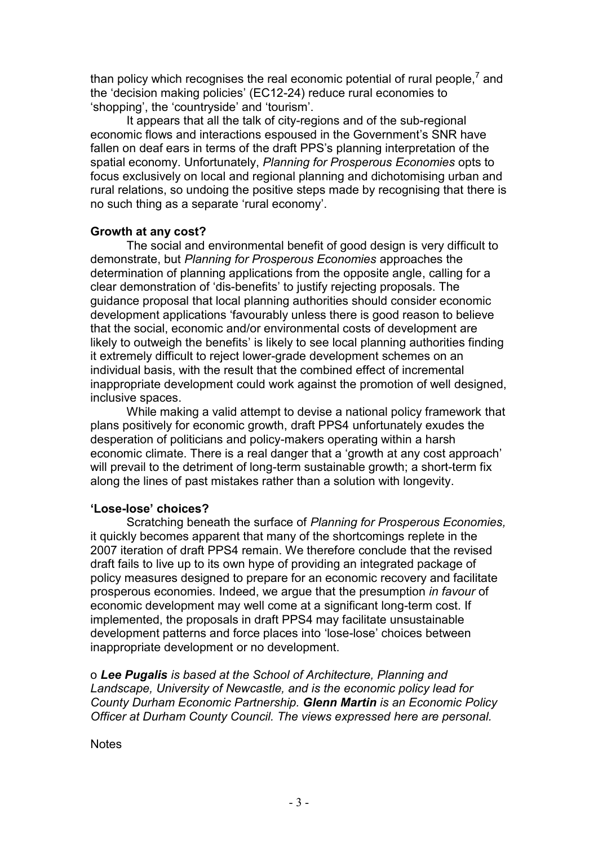than policy which recognises the real economic potential of rural people,<sup>7</sup> and the 'decision making policies' (EC12-24) reduce rural economies to 'shopping', the 'countryside' and 'tourism'.

 It appears that all the talk of city-regions and of the sub-regional economic flows and interactions espoused in the Government's SNR have fallen on deaf ears in terms of the draft PPS's planning interpretation of the spatial economy. Unfortunately, *Planning for Prosperous Economies* opts to focus exclusively on local and regional planning and dichotomising urban and rural relations, so undoing the positive steps made by recognising that there is no such thing as a separate 'rural economy'.

#### **Growth at any cost?**

 The social and environmental benefit of good design is very difficult to demonstrate, but *Planning for Prosperous Economies* approaches the determination of planning applications from the opposite angle, calling for a clear demonstration of 'dis-benefits' to justify rejecting proposals. The guidance proposal that local planning authorities should consider economic development applications 'favourably unless there is good reason to believe that the social, economic and/or environmental costs of development are likely to outweigh the benefits' is likely to see local planning authorities finding it extremely difficult to reject lower-grade development schemes on an individual basis, with the result that the combined effect of incremental inappropriate development could work against the promotion of well designed, inclusive spaces.

 While making a valid attempt to devise a national policy framework that plans positively for economic growth, draft PPS4 unfortunately exudes the desperation of politicians and policy-makers operating within a harsh economic climate. There is a real danger that a 'growth at any cost approach' will prevail to the detriment of long-term sustainable growth; a short-term fix along the lines of past mistakes rather than a solution with longevity.

### **'Lose-lose' choices?**

 Scratching beneath the surface of *Planning for Prosperous Economies,* it quickly becomes apparent that many of the shortcomings replete in the 2007 iteration of draft PPS4 remain. We therefore conclude that the revised draft fails to live up to its own hype of providing an integrated package of policy measures designed to prepare for an economic recovery and facilitate prosperous economies. Indeed, we argue that the presumption *in favour* of economic development may well come at a significant long-term cost. If implemented, the proposals in draft PPS4 may facilitate unsustainable development patterns and force places into 'lose-lose' choices between inappropriate development or no development.

o *Lee Pugalis is based at the School of Architecture, Planning and Landscape, University of Newcastle, and is the economic policy lead for County Durham Economic Partnership. Glenn Martin is an Economic Policy Officer at Durham County Council. The views expressed here are personal.* 

**Notes**